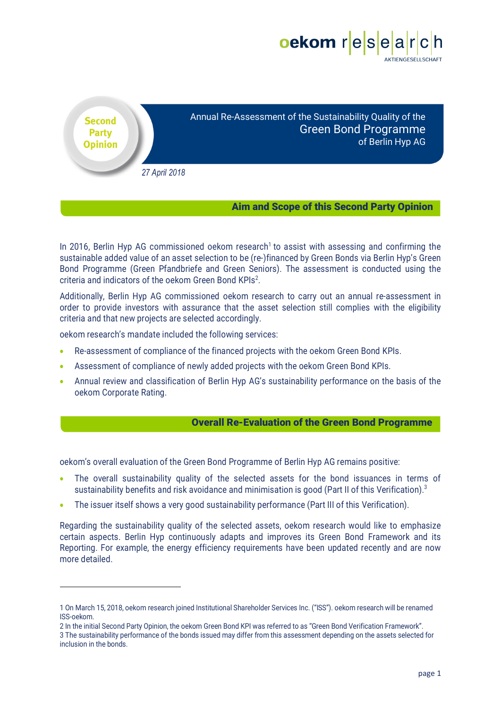

Annual Re-Assessment of the Sustainability Quality of the Green Bond Programme of Berlin Hyp AG

*27 April 2018*

**Second Party Opinion** 

## Aim and Scope of this Second Party Opinion

In 2016, Berlin Hyp AG commissioned oekom research<sup>1</sup> to assist with assessing and confirming the sustainable added value of an asset selection to be (re-)financed by Green Bonds via Berlin Hyp's Green Bond Programme (Green Pfandbriefe and Green Seniors). The assessment is conducted using the criteria and indicators of the oekom Green Bond KPIs<sup>2</sup>.

Additionally, Berlin Hyp AG commissioned oekom research to carry out an annual re-assessment in order to provide investors with assurance that the asset selection still complies with the eligibility criteria and that new projects are selected accordingly.

oekom research's mandate included the following services:

 

- Re-assessment of compliance of the financed projects with the oekom Green Bond KPIs.
- Assessment of compliance of newly added projects with the oekom Green Bond KPIs.
- Annual review and classification of Berlin Hyp AG's sustainability performance on the basis of the oekom Corporate Rating.

## Overall Re-Evaluation of the Green Bond Programme

oekom's overall evaluation of the Green Bond Programme of Berlin Hyp AG remains positive:

- The overall sustainability quality of the selected assets for the bond issuances in terms of sustainability benefits and risk avoidance and minimisation is good (Part II of this Verification).<sup>3</sup>
- The issuer itself shows a very good sustainability performance (Part III of this Verification).

Regarding the sustainability quality of the selected assets, oekom research would like to emphasize certain aspects. Berlin Hyp continuously adapts and improves its Green Bond Framework and its Reporting. For example, the energy efficiency requirements have been updated recently and are now more detailed.

<sup>1</sup> On March 15, 2018, oekom research joined Institutional Shareholder Services Inc. ("ISS"). oekom research will be renamed ISS-oekom.

<sup>2</sup> In the initial Second Party Opinion, the oekom Green Bond KPI was referred to as "Green Bond Verification Framework". 3 The sustainability performance of the bonds issued may differ from this assessment depending on the assets selected for inclusion in the bonds.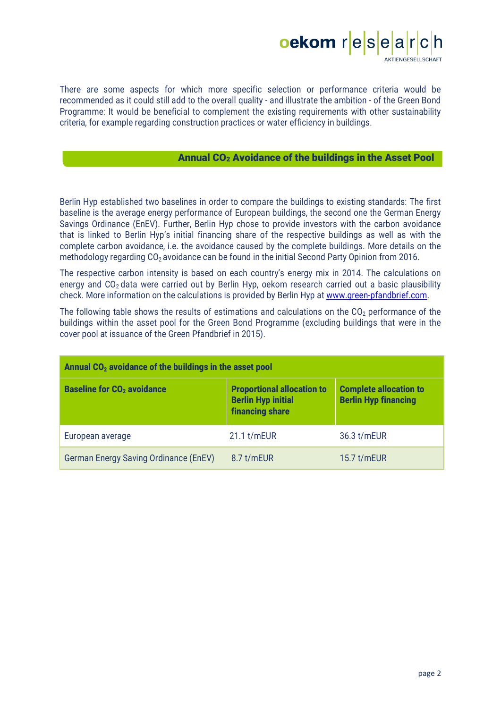

There are some aspects for which more specific selection or performance criteria would be recommended as it could still add to the overall quality - and illustrate the ambition - of the Green Bond Programme: It would be beneficial to complement the existing requirements with other sustainability criteria, for example regarding construction practices or water efficiency in buildings.

# Annual CO<sub>2</sub> Avoidance of the buildings in the Asset Pool

Berlin Hyp established two baselines in order to compare the buildings to existing standards: The first baseline is the average energy performance of European buildings, the second one the German Energy Savings Ordinance (EnEV). Further, Berlin Hyp chose to provide investors with the carbon avoidance that is linked to Berlin Hyp's initial financing share of the respective buildings as well as with the complete carbon avoidance, i.e. the avoidance caused by the complete buildings. More details on the methodology regarding CO<sub>2</sub> avoidance can be found in the initial Second Party Opinion from 2016.

The respective carbon intensity is based on each country's energy mix in 2014. The calculations on energy and  $CO<sub>2</sub>$  data were carried out by Berlin Hyp, oekom research carried out a basic plausibility check. More information on the calculations is provided by Berlin Hyp at www.green-pfandbrief.com.

The following table shows the results of estimations and calculations on the  $CO<sub>2</sub>$  performance of the buildings within the asset pool for the Green Bond Programme (excluding buildings that were in the cover pool at issuance of the Green Pfandbrief in 2015).

| Annual $CO2$ avoidance of the buildings in the asset pool |                                                                                          |                                                              |  |  |  |  |  |  |
|-----------------------------------------------------------|------------------------------------------------------------------------------------------|--------------------------------------------------------------|--|--|--|--|--|--|
| <b>Baseline for CO<sub>2</sub></b> avoidance              | <b>Proportional allocation to</b><br><b>Berlin Hyp initial</b><br><b>financing share</b> | <b>Complete allocation to</b><br><b>Berlin Hyp financing</b> |  |  |  |  |  |  |
| European average                                          | 21.1 t/mEUR                                                                              | 36.3 t/mEUR                                                  |  |  |  |  |  |  |
| German Energy Saving Ordinance (EnEV)                     | 8.7 t/mEUR                                                                               | 15.7 $t/mEUR$                                                |  |  |  |  |  |  |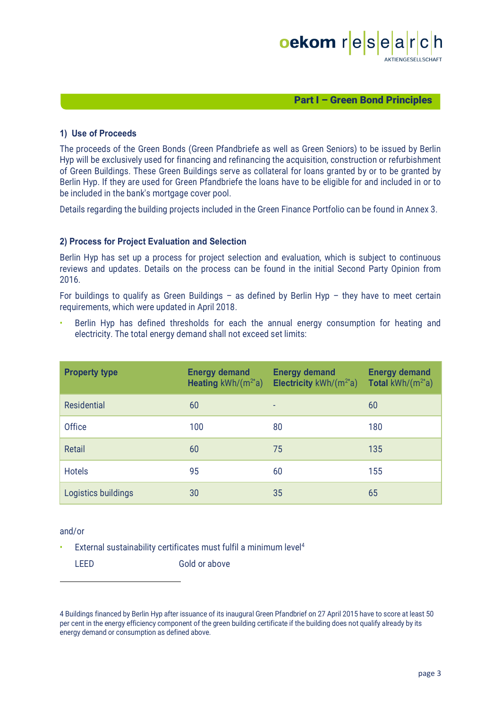

#### Part I – Green Bond Principles

#### **1) Use of Proceeds**

The proceeds of the Green Bonds (Green Pfandbriefe as well as Green Seniors) to be issued by Berlin Hyp will be exclusively used for financing and refinancing the acquisition, construction or refurbishment of Green Buildings. These Green Buildings serve as collateral for loans granted by or to be granted by Berlin Hyp. If they are used for Green Pfandbriefe the loans have to be eligible for and included in or to be included in the bank's mortgage cover pool.

Details regarding the building projects included in the Green Finance Portfolio can be found in Annex 3.

#### **2) Process for Project Evaluation and Selection**

Berlin Hyp has set up a process for project selection and evaluation, which is subject to continuous reviews and updates. Details on the process can be found in the initial Second Party Opinion from 2016.

For buildings to qualify as Green Buildings – as defined by Berlin Hyp – they have to meet certain requirements, which were updated in April 2018.

Berlin Hyp has defined thresholds for each the annual energy consumption for heating and electricity. The total energy demand shall not exceed set limits:

| <b>Property type</b> | <b>Energy demand</b><br><b>Heating</b> $kWh/(m^{2*}a)$ | <b>Energy demand</b><br>Electricity $kWh/(m^{2*}a)$ | <b>Energy demand</b><br><b>Total</b> kWh/ $(m^{2*}a)$ |
|----------------------|--------------------------------------------------------|-----------------------------------------------------|-------------------------------------------------------|
| <b>Residential</b>   | 60                                                     |                                                     | 60                                                    |
| <b>Office</b>        | 100                                                    | 80                                                  | 180                                                   |
| Retail               | 60                                                     | 75                                                  | 135                                                   |
| <b>Hotels</b>        | 95                                                     | 60                                                  | 155                                                   |
| Logistics buildings  | 30                                                     | 35                                                  | 65                                                    |

#### and/or

• External sustainability certificates must fulfil a minimum level<sup>4</sup>

LEED Gold or above

 

<sup>4</sup> Buildings financed by Berlin Hyp after issuance of its inaugural Green Pfandbrief on 27 April 2015 have to score at least 50 per cent in the energy efficiency component of the green building certificate if the building does not qualify already by its energy demand or consumption as defined above.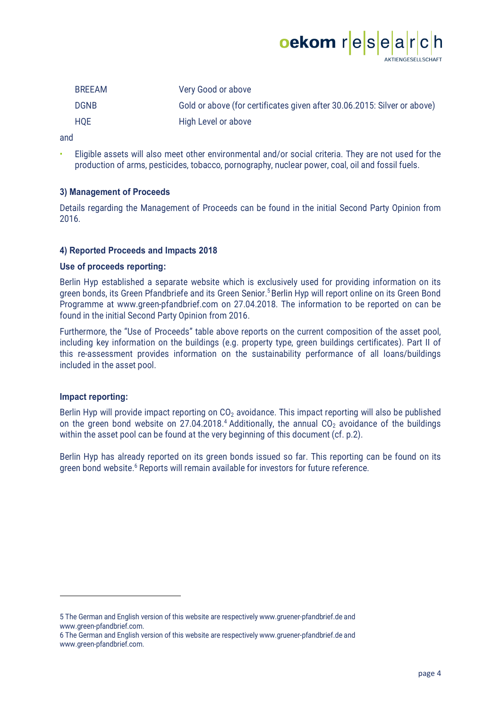

| <b>BREEAM</b> | Very Good or above                                                       |
|---------------|--------------------------------------------------------------------------|
| <b>DGNB</b>   | Gold or above (for certificates given after 30.06.2015: Silver or above) |
| <b>HQE</b>    | High Level or above                                                      |

and

• Eligible assets will also meet other environmental and/or social criteria. They are not used for the production of arms, pesticides, tobacco, pornography, nuclear power, coal, oil and fossil fuels.

#### **3) Management of Proceeds**

Details regarding the Management of Proceeds can be found in the initial Second Party Opinion from 2016.

#### **4) Reported Proceeds and Impacts 2018**

#### **Use of proceeds reporting:**

Berlin Hyp established a separate website which is exclusively used for providing information on its green bonds, its Green Pfandbriefe and its Green Senior.<sup>5</sup> Berlin Hyp will report online on its Green Bond Programme at www.green-pfandbrief.com on 27.04.2018. The information to be reported on can be found in the initial Second Party Opinion from 2016.

Furthermore, the "Use of Proceeds" table above reports on the current composition of the asset pool, including key information on the buildings (e.g. property type, green buildings certificates). Part II of this re-assessment provides information on the sustainability performance of all loans/buildings included in the asset pool.

#### **Impact reporting:**

 

Berlin Hyp will provide impact reporting on CO<sub>2</sub> avoidance. This impact reporting will also be published on the green bond website on 27.04.2018.<sup>4</sup> Additionally, the annual CO<sub>2</sub> avoidance of the buildings within the asset pool can be found at the very beginning of this document (cf. p.2).

Berlin Hyp has already reported on its green bonds issued so far. This reporting can be found on its green bond website.<sup>6</sup> Reports will remain available for investors for future reference.

<sup>5</sup> The German and English version of this website are respectively www.gruener-pfandbrief.de and www.green-pfandbrief.com.

<sup>6</sup> The German and English version of this website are respectively www.gruener-pfandbrief.de and www.green-pfandbrief.com.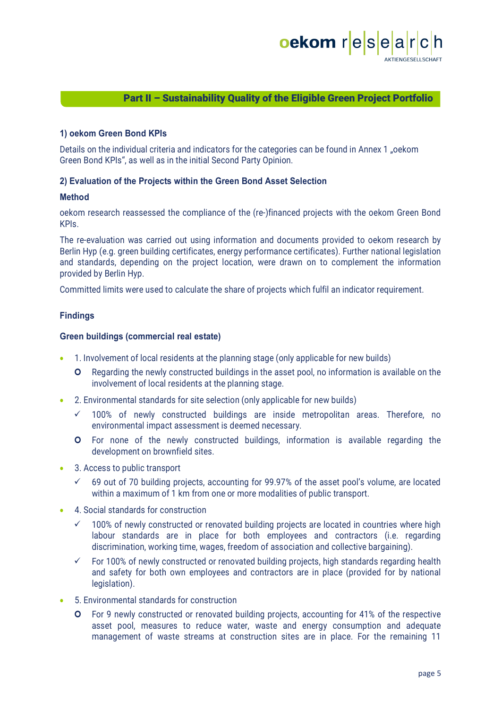

# Part II – Sustainability Quality of the Eligible Green Project Portfolio

#### **1) oekom Green Bond KPIs**

Details on the individual criteria and indicators for the categories can be found in Annex 1 "oekom Green Bond KPIs", as well as in the initial Second Party Opinion.

#### **2) Evaluation of the Projects within the Green Bond Asset Selection**

#### **Method**

oekom research reassessed the compliance of the (re-)financed projects with the oekom Green Bond KPIs.

The re-evaluation was carried out using information and documents provided to oekom research by Berlin Hyp (e.g. green building certificates, energy performance certificates). Further national legislation and standards, depending on the project location, were drawn on to complement the information provided by Berlin Hyp.

Committed limits were used to calculate the share of projects which fulfil an indicator requirement.

## **Findings**

#### **Green buildings (commercial real estate)**

- 1. Involvement of local residents at the planning stage (only applicable for new builds)
	- **O** Regarding the newly constructed buildings in the asset pool, no information is available on the involvement of local residents at the planning stage.
- 2. Environmental standards for site selection (only applicable for new builds)
	- $\checkmark$  100% of newly constructed buildings are inside metropolitan areas. Therefore, no environmental impact assessment is deemed necessary.
	- ¢ For none of the newly constructed buildings, information is available regarding the development on brownfield sites.
- 3. Access to public transport
	- $\checkmark$  69 out of 70 building projects, accounting for 99.97% of the asset pool's volume, are located within a maximum of 1 km from one or more modalities of public transport.
- 4. Social standards for construction
	- $\checkmark$  100% of newly constructed or renovated building projects are located in countries where high labour standards are in place for both employees and contractors (i.e. regarding discrimination, working time, wages, freedom of association and collective bargaining).
	- $\checkmark$  For 100% of newly constructed or renovated building projects, high standards regarding health and safety for both own employees and contractors are in place (provided for by national legislation).
- 5. Environmental standards for construction
	- **O** For 9 newly constructed or renovated building projects, accounting for 41% of the respective asset pool, measures to reduce water, waste and energy consumption and adequate management of waste streams at construction sites are in place. For the remaining 11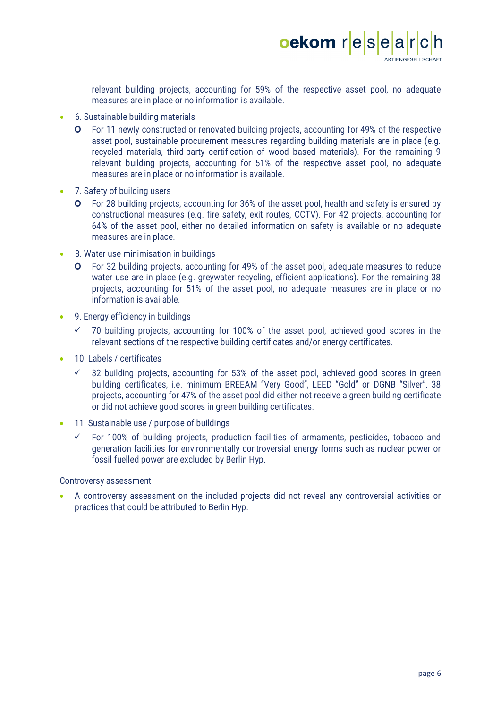

relevant building projects, accounting for 59% of the respective asset pool, no adequate measures are in place or no information is available.

- 6. Sustainable building materials
	- ¢ For 11 newly constructed or renovated building projects, accounting for 49% of the respective asset pool, sustainable procurement measures regarding building materials are in place (e.g. recycled materials, third-party certification of wood based materials). For the remaining 9 relevant building projects, accounting for 51% of the respective asset pool, no adequate measures are in place or no information is available.
- 7. Safety of building users
	- **O** For 28 building projects, accounting for 36% of the asset pool, health and safety is ensured by constructional measures (e.g. fire safety, exit routes, CCTV). For 42 projects, accounting for 64% of the asset pool, either no detailed information on safety is available or no adequate measures are in place.
- 8. Water use minimisation in buildings
	- $\bullet$  For 32 building projects, accounting for 49% of the asset pool, adequate measures to reduce water use are in place (e.g. greywater recycling, efficient applications). For the remaining 38 projects, accounting for 51% of the asset pool, no adequate measures are in place or no information is available.
- 9. Energy efficiency in buildings
	- $\checkmark$  70 building projects, accounting for 100% of the asset pool, achieved good scores in the relevant sections of the respective building certificates and/or energy certificates.
- 10. Labels / certificates
	- $\checkmark$  32 building projects, accounting for 53% of the asset pool, achieved good scores in green building certificates, i.e. minimum BREEAM "Very Good", LEED "Gold" or DGNB "Silver". 38 projects, accounting for 47% of the asset pool did either not receive a green building certificate or did not achieve good scores in green building certificates.
- 11. Sustainable use / purpose of buildings
	- $\checkmark$  For 100% of building projects, production facilities of armaments, pesticides, tobacco and generation facilities for environmentally controversial energy forms such as nuclear power or fossil fuelled power are excluded by Berlin Hyp.

#### Controversy assessment

• A controversy assessment on the included projects did not reveal any controversial activities or practices that could be attributed to Berlin Hyp.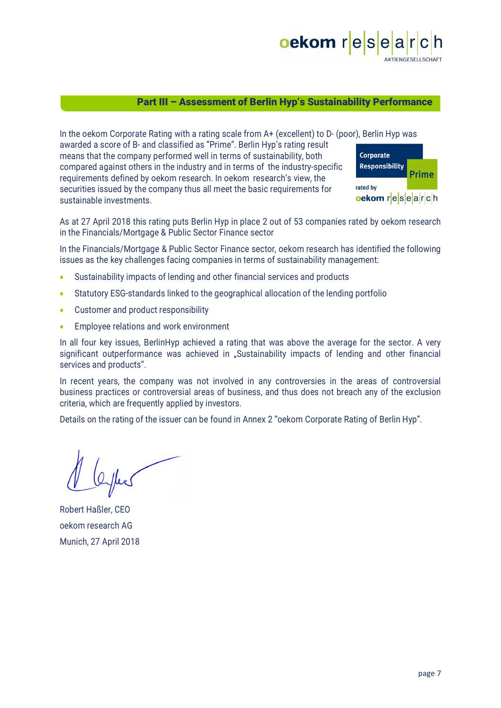

## Part III – Assessment of Berlin Hyp's Sustainability Performance

In the oekom Corporate Rating with a rating scale from A+ (excellent) to D- (poor), Berlin Hyp was awarded a score of B- and classified as "Prime". Berlin Hyp's rating result means that the company performed well in terms of sustainability, both compared against others in the industry and in terms of the industry-specific requirements defined by oekom research. In oekom research's view, the securities issued by the company thus all meet the basic requirements for sustainable investments.



As at 27 April 2018 this rating puts Berlin Hyp in place 2 out of 53 companies rated by oekom research in the Financials/Mortgage & Public Sector Finance sector

In the Financials/Mortgage & Public Sector Finance sector, oekom research has identified the following issues as the key challenges facing companies in terms of sustainability management:

- Sustainability impacts of lending and other financial services and products
- Statutory ESG-standards linked to the geographical allocation of the lending portfolio
- Customer and product responsibility
- Employee relations and work environment

In all four key issues, BerlinHyp achieved a rating that was above the average for the sector. A very significant outperformance was achieved in "Sustainability impacts of lending and other financial services and products".

In recent years, the company was not involved in any controversies in the areas of controversial business practices or controversial areas of business, and thus does not breach any of the exclusion criteria, which are frequently applied by investors.

Details on the rating of the issuer can be found in Annex 2 "oekom Corporate Rating of Berlin Hyp".

Robert Haßler, CEO oekom research AG Munich, 27 April 2018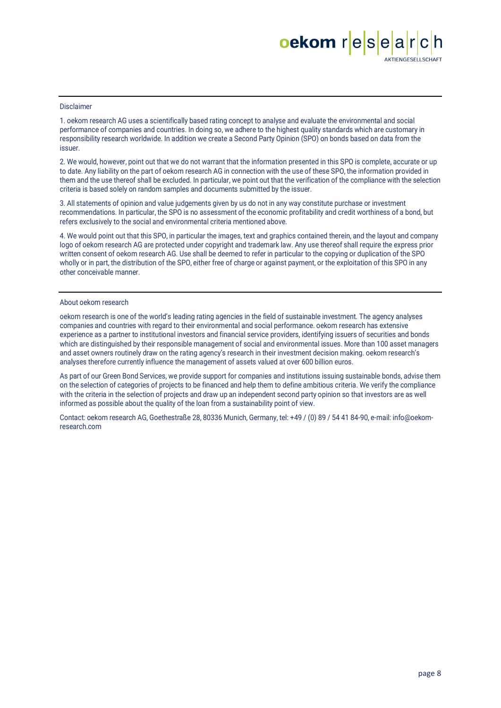# oekom resea AKTIENGESELLSCHAFT

#### Disclaimer

1. oekom research AG uses a scientifically based rating concept to analyse and evaluate the environmental and social performance of companies and countries. In doing so, we adhere to the highest quality standards which are customary in responsibility research worldwide. In addition we create a Second Party Opinion (SPO) on bonds based on data from the issuer.

2. We would, however, point out that we do not warrant that the information presented in this SPO is complete, accurate or up to date. Any liability on the part of oekom research AG in connection with the use of these SPO, the information provided in them and the use thereof shall be excluded. In particular, we point out that the verification of the compliance with the selection criteria is based solely on random samples and documents submitted by the issuer.

3. All statements of opinion and value judgements given by us do not in any way constitute purchase or investment recommendations. In particular, the SPO is no assessment of the economic profitability and credit worthiness of a bond, but refers exclusively to the social and environmental criteria mentioned above.

4. We would point out that this SPO, in particular the images, text and graphics contained therein, and the layout and company logo of oekom research AG are protected under copyright and trademark law. Any use thereof shall require the express prior written consent of oekom research AG. Use shall be deemed to refer in particular to the copying or duplication of the SPO wholly or in part, the distribution of the SPO, either free of charge or against payment, or the exploitation of this SPO in any other conceivable manner.

#### About oekom research

oekom research is one of the world's leading rating agencies in the field of sustainable investment. The agency analyses companies and countries with regard to their environmental and social performance. oekom research has extensive experience as a partner to institutional investors and financial service providers, identifying issuers of securities and bonds which are distinguished by their responsible management of social and environmental issues. More than 100 asset managers and asset owners routinely draw on the rating agency's research in their investment decision making. oekom research's analyses therefore currently influence the management of assets valued at over 600 billion euros.

As part of our Green Bond Services, we provide support for companies and institutions issuing sustainable bonds, advise them on the selection of categories of projects to be financed and help them to define ambitious criteria. We verify the compliance with the criteria in the selection of projects and draw up an independent second party opinion so that investors are as well informed as possible about the quality of the loan from a sustainability point of view.

Contact: oekom research AG, Goethestraße 28, 80336 Munich, Germany, tel: +49 / (0) 89 / 54 41 84-90, e-mail: info@oekomresearch.com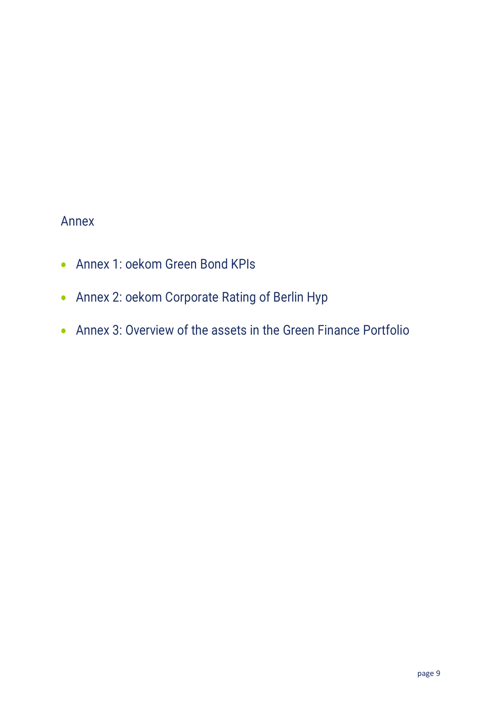# Annex

- Annex 1: oekom Green Bond KPIs
- Annex 2: oekom Corporate Rating of Berlin Hyp
- Annex 3: Overview of the assets in the Green Finance Portfolio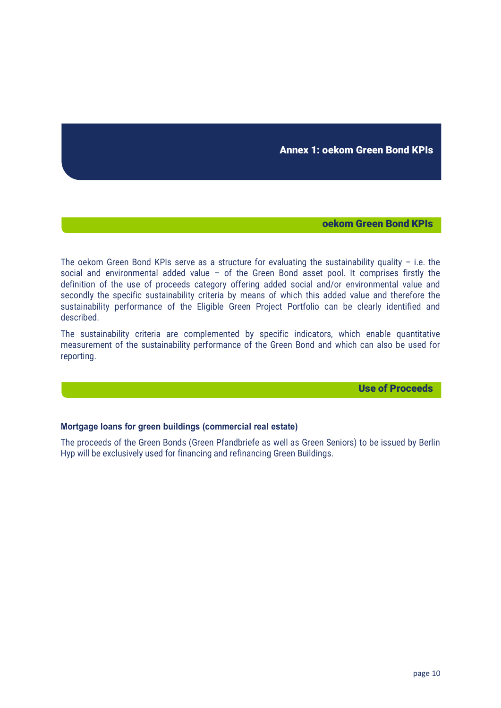Annex 1: oekom Green Bond KPIs

#### oekom Green Bond KPIs

The oekom Green Bond KPIs serve as a structure for evaluating the sustainability quality – i.e. the social and environmental added value – of the Green Bond asset pool. It comprises firstly the definition of the use of proceeds category offering added social and/or environmental value and secondly the specific sustainability criteria by means of which this added value and therefore the sustainability performance of the Eligible Green Project Portfolio can be clearly identified and described.

The sustainability criteria are complemented by specific indicators, which enable quantitative measurement of the sustainability performance of the Green Bond and which can also be used for reporting.

Use of Proceeds

#### **Mortgage loans for green buildings (commercial real estate)**

The proceeds of the Green Bonds (Green Pfandbriefe as well as Green Seniors) to be issued by Berlin Hyp will be exclusively used for financing and refinancing Green Buildings.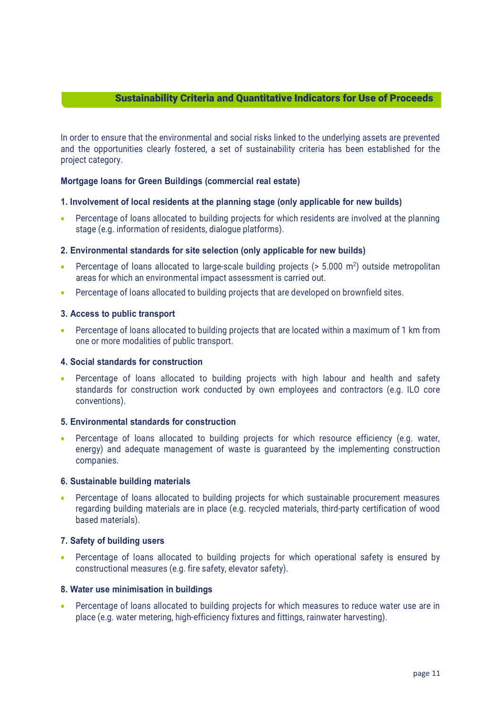# Sustainability Criteria and Quantitative Indicators for Use of Proceeds

In order to ensure that the environmental and social risks linked to the underlying assets are prevented and the opportunities clearly fostered, a set of sustainability criteria has been established for the project category.

#### **Mortgage loans for Green Buildings (commercial real estate)**

#### **1. Involvement of local residents at the planning stage (only applicable for new builds)**

• Percentage of loans allocated to building projects for which residents are involved at the planning stage (e.g. information of residents, dialogue platforms).

#### **2. Environmental standards for site selection (only applicable for new builds)**

- Percentage of loans allocated to large-scale building projects ( $> 5.000$  m<sup>2</sup>) outside metropolitan areas for which an environmental impact assessment is carried out.
- Percentage of loans allocated to building projects that are developed on brownfield sites.

#### **3. Access to public transport**

• Percentage of loans allocated to building projects that are located within a maximum of 1 km from one or more modalities of public transport.

#### **4. Social standards for construction**

• Percentage of loans allocated to building projects with high labour and health and safety standards for construction work conducted by own employees and contractors (e.g. ILO core conventions).

# **5. Environmental standards for construction**

• Percentage of loans allocated to building projects for which resource efficiency (e.g. water, energy) and adequate management of waste is guaranteed by the implementing construction companies.

#### **6. Sustainable building materials**

• Percentage of loans allocated to building projects for which sustainable procurement measures regarding building materials are in place (e.g. recycled materials, third-party certification of wood based materials).

#### **7. Safety of building users**

• Percentage of loans allocated to building projects for which operational safety is ensured by constructional measures (e.g. fire safety, elevator safety).

#### **8. Water use minimisation in buildings**

• Percentage of loans allocated to building projects for which measures to reduce water use are in place (e.g. water metering, high-efficiency fixtures and fittings, rainwater harvesting).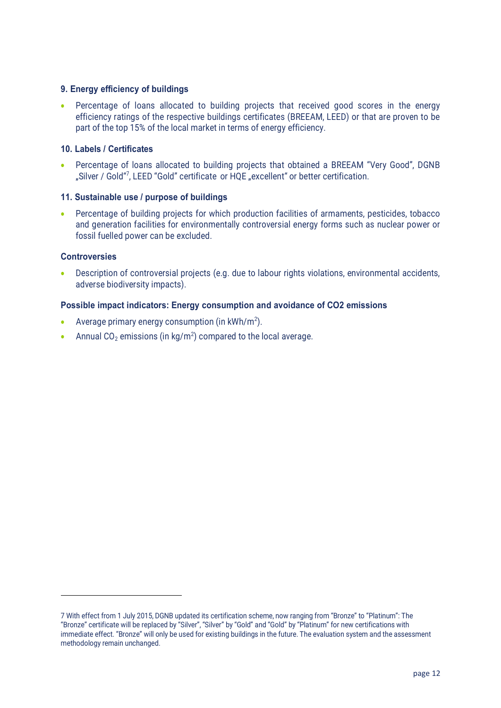### **9. Energy efficiency of buildings**

• Percentage of loans allocated to building projects that received good scores in the energy efficiency ratings of the respective buildings certificates (BREEAM, LEED) or that are proven to be part of the top 15% of the local market in terms of energy efficiency.

#### **10. Labels / Certificates**

• Percentage of loans allocated to building projects that obtained a BREEAM "Very Good", DGNB "Silver / Gold"<sup>7</sup>, LEED "Gold" certificate or HQE "excellent" or better certification.

#### **11. Sustainable use / purpose of buildings**

• Percentage of building projects for which production facilities of armaments, pesticides, tobacco and generation facilities for environmentally controversial energy forms such as nuclear power or fossil fuelled power can be excluded.

# **Controversies**

• Description of controversial projects (e.g. due to labour rights violations, environmental accidents, adverse biodiversity impacts).

#### **Possible impact indicators: Energy consumption and avoidance of CO2 emissions**

• Average primary energy consumption (in  $kWh/m^2$ ).

 

• Annual CO<sub>2</sub> emissions (in kg/m<sup>2</sup>) compared to the local average.

<sup>7</sup> With effect from 1 July 2015, DGNB updated its certification scheme, now ranging from "Bronze" to "Platinum": The "Bronze" certificate will be replaced by "Silver", "Silver" by "Gold" and "Gold" by "Platinum" for new certifications with immediate effect. "Bronze" will only be used for existing buildings in the future. The evaluation system and the assessment methodology remain unchanged.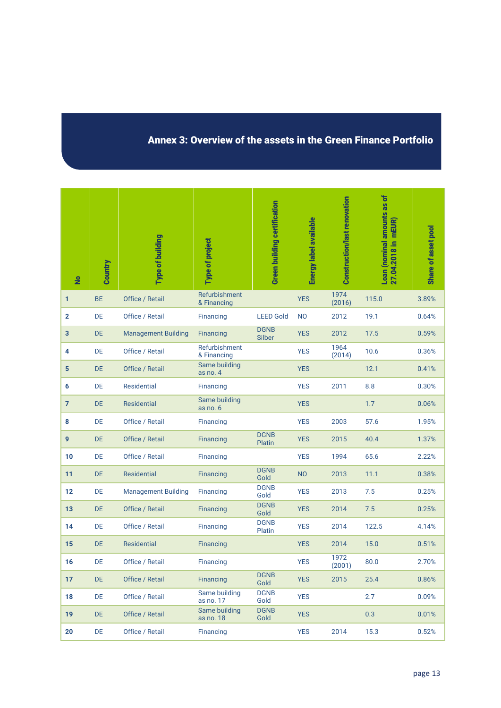# Annex 3: Overview of the assets in the Green Finance Portfolio

| $\overline{\mathbf{z}}$ | Country   | Type of building           | Type of project              | <b>Green building certification</b> | Energy label available | Construction/last renovation | Loan (nominal amounts as of<br>27.04.2018 in  mEUR) | Share of asset pool |
|-------------------------|-----------|----------------------------|------------------------------|-------------------------------------|------------------------|------------------------------|-----------------------------------------------------|---------------------|
| 1                       | <b>BE</b> | Office / Retail            | Refurbishment<br>& Financing |                                     | <b>YES</b>             | 1974<br>(2016)               | 115.0                                               | 3.89%               |
| $\mathbf{2}$            | DE        | Office / Retail            | Financing                    | <b>LEED Gold</b>                    | <b>NO</b>              | 2012                         | 19.1                                                | 0.64%               |
| 3                       | <b>DE</b> | <b>Management Building</b> | <b>Financing</b>             | <b>DGNB</b><br>Silber               | <b>YES</b>             | 2012                         | 17.5                                                | 0.59%               |
| 4                       | DE        | Office / Retail            | Refurbishment<br>& Financing |                                     | <b>YES</b>             | 1964<br>(2014)               | 10.6                                                | 0.36%               |
| 5                       | <b>DE</b> | Office / Retail            | Same building<br>as no. $4$  |                                     | <b>YES</b>             |                              | 12.1                                                | 0.41%               |
| 6                       | DE        | Residential                | Financing                    |                                     | <b>YES</b>             | 2011                         | 8.8                                                 | 0.30%               |
| $\overline{7}$          | <b>DE</b> | <b>Residential</b>         | Same building<br>as no. 6    |                                     | <b>YES</b>             |                              | 1.7                                                 | 0.06%               |
| 8                       | DE        | Office / Retail            | Financing                    |                                     | <b>YES</b>             | 2003                         | 57.6                                                | 1.95%               |
| 9                       | <b>DE</b> | Office / Retail            | Financing                    | <b>DGNB</b><br>Platin               | <b>YES</b>             | 2015                         | 40.4                                                | 1.37%               |
| 10                      | <b>DE</b> | Office / Retail            | Financing                    |                                     | <b>YES</b>             | 1994                         | 65.6                                                | 2.22%               |
| 11                      | <b>DE</b> | <b>Residential</b>         | Financing                    | <b>DGNB</b><br>Gold                 | <b>NO</b>              | 2013                         | 11.1                                                | 0.38%               |
| 12                      | DE        | <b>Management Building</b> | Financing                    | <b>DGNB</b><br>Gold                 | <b>YES</b>             | 2013                         | 7.5                                                 | 0.25%               |
| 13                      | <b>DE</b> | Office / Retail            | Financing                    | <b>DGNB</b><br>Gold                 | <b>YES</b>             | 2014                         | 7.5                                                 | 0.25%               |
| 14                      | DE        | Office / Retail            | Financing                    | <b>DGNB</b><br>Platin               | <b>YES</b>             | 2014                         | 122.5                                               | 4.14%               |
| 15                      | <b>DE</b> | <b>Residential</b>         | Financing                    |                                     | <b>YES</b>             | 2014                         | 15.0                                                | 0.51%               |
| 16                      | DE        | Office / Retail            | <b>Financing</b>             |                                     | <b>YES</b>             | 1972<br>(2001)               | 80.0                                                | 2.70%               |
| 17                      | DE        | Office / Retail            | Financing                    | <b>DGNB</b><br>Gold                 | <b>YES</b>             | 2015                         | 25.4                                                | 0.86%               |
| 18                      | DE        | Office / Retail            | Same building<br>as no. 17   | <b>DGNB</b><br>Gold                 | <b>YES</b>             |                              | 2.7                                                 | 0.09%               |
| 19                      | DE        | Office / Retail            | Same building<br>as no. 18   | <b>DGNB</b><br>Gold                 | <b>YES</b>             |                              | 0.3                                                 | 0.01%               |
| 20                      | DE        | Office / Retail            | Financing                    |                                     | <b>YES</b>             | 2014                         | 15.3                                                | 0.52%               |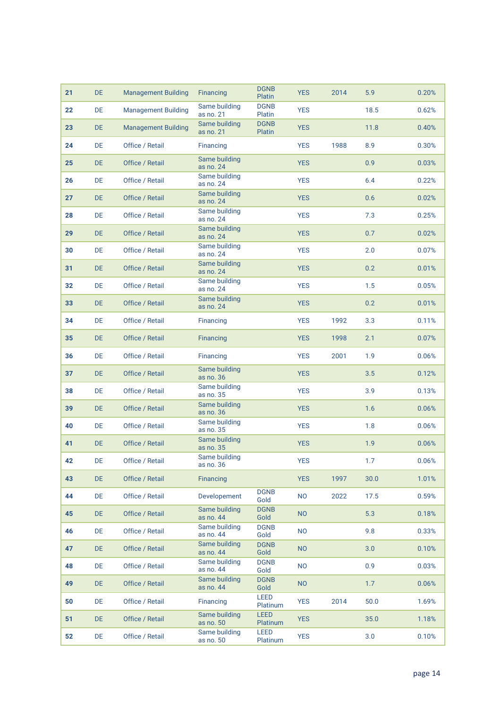| 21 | DE.       | <b>Management Building</b> | Financing                  | <b>DGNB</b><br>Platin   | <b>YES</b> | 2014 | 5.9  | 0.20% |
|----|-----------|----------------------------|----------------------------|-------------------------|------------|------|------|-------|
| 22 | DE        | <b>Management Building</b> | Same building<br>as no. 21 | <b>DGNB</b><br>Platin   | <b>YES</b> |      | 18.5 | 0.62% |
| 23 | DE.       | <b>Management Building</b> | Same building<br>as no. 21 | <b>DGNB</b><br>Platin   | <b>YES</b> |      | 11.8 | 0.40% |
| 24 | DE        | Office / Retail            | Financing                  |                         | <b>YES</b> | 1988 | 8.9  | 0.30% |
| 25 | DE.       | Office / Retail            | Same building<br>as no. 24 |                         | <b>YES</b> |      | 0.9  | 0.03% |
| 26 | <b>DE</b> | Office / Retail            | Same building<br>as no. 24 |                         | <b>YES</b> |      | 6.4  | 0.22% |
| 27 | <b>DE</b> | Office / Retail            | Same building<br>as no. 24 |                         | <b>YES</b> |      | 0.6  | 0.02% |
| 28 | DE        | Office / Retail            | Same building<br>as no. 24 |                         | <b>YES</b> |      | 7.3  | 0.25% |
| 29 | DE.       | Office / Retail            | Same building<br>as no. 24 |                         | <b>YES</b> |      | 0.7  | 0.02% |
| 30 | <b>DE</b> | Office / Retail            | Same building<br>as no. 24 |                         | <b>YES</b> |      | 2.0  | 0.07% |
| 31 | <b>DE</b> | Office / Retail            | Same building<br>as no. 24 |                         | <b>YES</b> |      | 0.2  | 0.01% |
| 32 | <b>DE</b> | Office / Retail            | Same building<br>as no. 24 |                         | <b>YES</b> |      | 1.5  | 0.05% |
| 33 | DE.       | Office / Retail            | Same building<br>as no. 24 |                         | <b>YES</b> |      | 0.2  | 0.01% |
| 34 | DE        | Office / Retail            | Financing                  |                         | <b>YES</b> | 1992 | 3.3  | 0.11% |
| 35 | DE.       | Office / Retail            | Financing                  |                         | <b>YES</b> | 1998 | 2.1  | 0.07% |
| 36 | DE        | Office / Retail            | Financing                  |                         | <b>YES</b> | 2001 | 1.9  | 0.06% |
| 37 | <b>DE</b> | Office / Retail            | Same building<br>as no. 36 |                         | <b>YES</b> |      | 3.5  | 0.12% |
| 38 | <b>DE</b> | Office / Retail            | Same building<br>as no. 35 |                         | <b>YES</b> |      | 3.9  | 0.13% |
| 39 | <b>DE</b> | Office / Retail            | Same building<br>as no. 36 |                         | <b>YES</b> |      | 1.6  | 0.06% |
| 40 | DE        | Office / Retail            | Same building<br>as no. 35 |                         | <b>YES</b> |      | 1.8  | 0.06% |
| 41 | <b>DE</b> | Office / Retail            | Same building<br>as no. 35 |                         | <b>YES</b> |      | 1.9  | 0.06% |
| 42 | DE        | Office / Retail            | Same building<br>as no. 36 |                         | <b>YES</b> |      | 1.7  | 0.06% |
| 43 | DE        | Office / Retail            | <b>Financing</b>           |                         | <b>YES</b> | 1997 | 30.0 | 1.01% |
| 44 | DE        | Office / Retail            | Developement               | <b>DGNB</b><br>Gold     | <b>NO</b>  | 2022 | 17.5 | 0.59% |
| 45 | <b>DE</b> | Office / Retail            | Same building<br>as no. 44 | <b>DGNB</b><br>Gold     | <b>NO</b>  |      | 5.3  | 0.18% |
| 46 | DE        | Office / Retail            | Same building<br>as no. 44 | <b>DGNB</b><br>Gold     | <b>NO</b>  |      | 9.8  | 0.33% |
| 47 | <b>DE</b> | Office / Retail            | Same building<br>as no. 44 | <b>DGNB</b><br>Gold     | <b>NO</b>  |      | 3.0  | 0.10% |
| 48 | DE        | Office / Retail            | Same building<br>as no. 44 | <b>DGNB</b><br>Gold     | <b>NO</b>  |      | 0.9  | 0.03% |
| 49 | DE        | Office / Retail            | Same building<br>as no. 44 | <b>DGNB</b><br>Gold     | <b>NO</b>  |      | 1.7  | 0.06% |
| 50 | DE        | Office / Retail            | Financing                  | <b>LEED</b><br>Platinum | <b>YES</b> | 2014 | 50.0 | 1.69% |
| 51 | DE.       | Office / Retail            | Same building<br>as no. 50 | <b>LEED</b><br>Platinum | <b>YES</b> |      | 35.0 | 1.18% |
| 52 | DE        | Office / Retail            | Same building<br>as no. 50 | <b>LEED</b><br>Platinum | <b>YES</b> |      | 3.0  | 0.10% |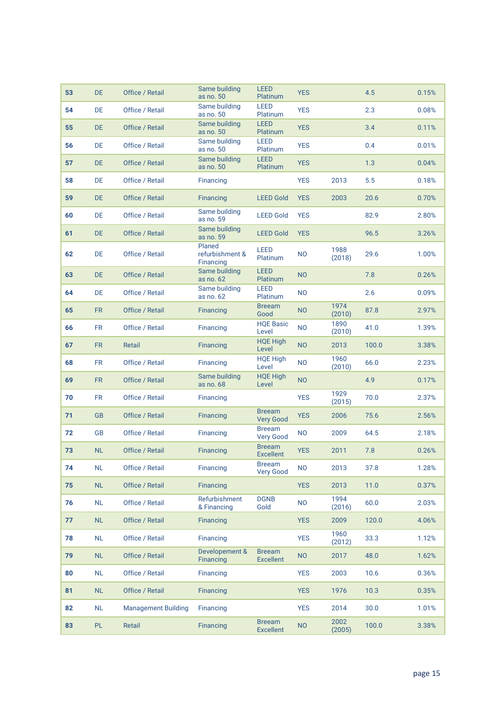| 53 | DE.       | Office / Retail            | Same building<br>as no. 50             | <b>LEED</b><br>Platinum           | <b>YES</b>                  |                | 4.5   | 0.15% |
|----|-----------|----------------------------|----------------------------------------|-----------------------------------|-----------------------------|----------------|-------|-------|
| 54 | DE        | Office / Retail            | Same building<br>as no. 50             | <b>LEED</b><br>Platinum           | <b>YES</b>                  |                | 2.3   | 0.08% |
| 55 | <b>DE</b> | Office / Retail            | Same building<br>as no. 50             | <b>LEED</b><br>Platinum           | <b>YES</b>                  |                | 3.4   | 0.11% |
| 56 | DE        | Office / Retail            | Same building<br>as no. 50             | <b>LEED</b><br>Platinum           | <b>YES</b>                  |                | 0.4   | 0.01% |
| 57 | DE.       | Office / Retail            | Same building<br>as no. 50             | LEED<br>Platinum                  | <b>YES</b>                  |                | 1.3   | 0.04% |
| 58 | DE.       | Office / Retail            | Financing                              |                                   | <b>YES</b>                  | 2013           | 5.5   | 0.18% |
| 59 | <b>DE</b> | Office / Retail            | Financing                              | <b>LEED Gold</b>                  | <b>YES</b>                  | 2003           | 20.6  | 0.70% |
| 60 | DE        | Office / Retail            | Same building<br>as no. 59             | <b>LEED Gold</b>                  | <b>YES</b>                  |                | 82.9  | 2.80% |
| 61 | DE.       | Office / Retail            | Same building<br>as no. 59             | <b>LEED Gold</b>                  | <b>YES</b>                  |                | 96.5  | 3.26% |
| 62 | DE        | Office / Retail            | Planed<br>refurbishment &<br>Financing | <b>LEED</b><br>Platinum           | N <sub>O</sub>              | 1988<br>(2018) | 29.6  | 1.00% |
| 63 | <b>DE</b> | Office / Retail            | Same building<br>as no. 62             | <b>LEED</b><br>Platinum           | <b>NO</b>                   |                | 7.8   | 0.26% |
| 64 | DE        | Office / Retail            | Same building<br>as no. 62             | LEED<br>Platinum                  | N <sub>O</sub>              |                | 2.6   | 0.09% |
| 65 | <b>FR</b> | Office / Retail            | Financing                              | <b>Breeam</b><br>Good             | 1974<br><b>NO</b><br>(2010) |                | 87.8  | 2.97% |
| 66 | <b>FR</b> | Office / Retail            | Financing                              | <b>HQE Basic</b><br>Level         | 1890<br><b>NO</b><br>(2010) |                | 41.0  | 1.39% |
| 67 | FR.       | Retail                     | <b>Financing</b>                       | <b>HQE High</b><br>Level          | <b>NO</b><br>2013           |                | 100.0 | 3.38% |
| 68 | FR.       | Office / Retail            | Financing                              | <b>HQE High</b><br>Level          | 1960<br><b>NO</b><br>(2010) |                | 66.0  | 2.23% |
| 69 | FR.       | Office / Retail            | Same building<br>as no. 68             | <b>HQE High</b><br>Level          | <b>NO</b>                   |                | 4.9   | 0.17% |
| 70 | <b>FR</b> | Office / Retail            | Financing                              |                                   | <b>YES</b>                  | 1929<br>(2015) | 70.0  | 2.37% |
| 71 | <b>GB</b> | Office / Retail            | Financing                              | <b>Breeam</b><br><b>Very Good</b> | <b>YES</b>                  | 2006           | 75.6  | 2.56% |
| 72 | GB        | Office / Retail            | Financing                              | <b>Breeam</b><br><b>Very Good</b> | NO.                         | 2009           | 64.5  | 2.18% |
| 73 | <b>NL</b> | Office / Retail            | Financing                              | <b>Breeam</b><br><b>Excellent</b> | <b>YES</b>                  | 2011           | 7.8   | 0.26% |
| 74 | NL        | Office / Retail            | Financing                              | <b>Breeam</b><br><b>Very Good</b> | <b>NO</b>                   | 2013           | 37.8  | 1.28% |
| 75 | NL        | Office / Retail            | Financing                              |                                   | <b>YES</b>                  | 2013           | 11.0  | 0.37% |
| 76 | NL        | Office / Retail            | Refurbishment<br>& Financing           | <b>DGNB</b><br>Gold               | <b>NO</b>                   | 1994<br>(2016) | 60.0  | 2.03% |
| 77 | <b>NL</b> | Office / Retail            | Financing                              |                                   | <b>YES</b>                  | 2009           | 120.0 | 4.06% |
| 78 | NL        | Office / Retail            | Financing                              |                                   | <b>YES</b>                  | 1960<br>(2012) | 33.3  | 1.12% |
| 79 | NL        | Office / Retail            | Developement &<br>Financing            | <b>Breeam</b><br><b>Excellent</b> | <b>NO</b>                   | 2017           | 48.0  | 1.62% |
| 80 | NL        | Office / Retail            | Financing                              |                                   | <b>YES</b>                  | 2003           | 10.6  | 0.36% |
| 81 | NL        | Office / Retail            | <b>Financing</b>                       |                                   | <b>YES</b>                  | 1976           | 10.3  | 0.35% |
| 82 | <b>NL</b> | <b>Management Building</b> | Financing                              |                                   | <b>YES</b>                  | 2014           | 30.0  | 1.01% |
| 83 | <b>PL</b> | Retail                     | <b>Financing</b>                       | <b>Breeam</b><br><b>Excellent</b> | <b>NO</b>                   | 2002<br>(2005) | 100.0 | 3.38% |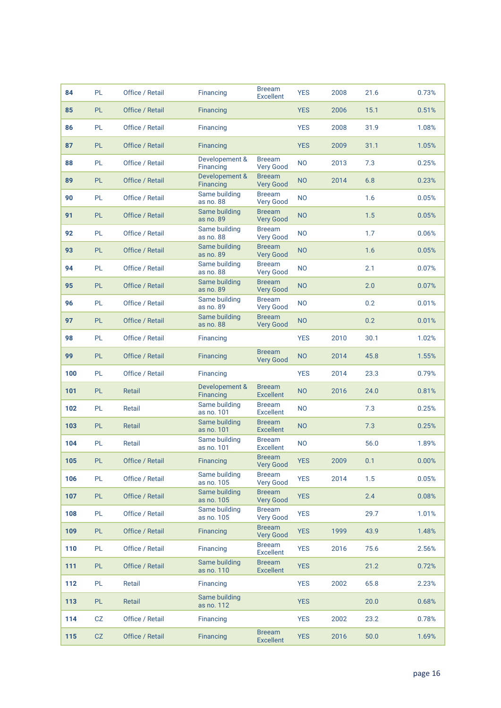| 84  | PL        | Office / Retail | Financing                          | <b>Breeam</b><br><b>Excellent</b> | <b>YES</b>     | 2008 | 21.6 | 0.73% |
|-----|-----------|-----------------|------------------------------------|-----------------------------------|----------------|------|------|-------|
| 85  | PL        | Office / Retail | <b>Financing</b>                   |                                   | <b>YES</b>     | 2006 | 15.1 | 0.51% |
| 86  | PL        | Office / Retail | Financing                          |                                   | <b>YES</b>     | 2008 | 31.9 | 1.08% |
| 87  | PL        | Office / Retail | Financing                          |                                   | <b>YES</b>     | 2009 | 31.1 | 1.05% |
| 88  | PL        | Office / Retail | Developement &<br>Financing        | <b>Breeam</b><br><b>Very Good</b> | <b>NO</b>      | 2013 | 7.3  | 0.25% |
| 89  | <b>PL</b> | Office / Retail | Developement &<br><b>Financing</b> | <b>Breeam</b><br><b>Very Good</b> | <b>NO</b>      | 2014 | 6.8  | 0.23% |
| 90  | PL        | Office / Retail | Same building<br>as no. 88         | <b>Breeam</b><br><b>Very Good</b> | N <sub>O</sub> |      | 1.6  | 0.05% |
| 91  | <b>PL</b> | Office / Retail | Same building<br>as no. 89         | <b>Breeam</b><br><b>Very Good</b> | <b>NO</b>      |      | 1.5  | 0.05% |
| 92  | PL        | Office / Retail | Same building<br>as no. 88         | <b>Breeam</b><br><b>Very Good</b> | <b>NO</b>      |      | 1.7  | 0.06% |
| 93  | PL.       | Office / Retail | Same building<br>as no. 89         | <b>Breeam</b><br><b>Very Good</b> | <b>NO</b>      |      | 1.6  | 0.05% |
| 94  | PL        | Office / Retail | Same building<br>as no. 88         | <b>Breeam</b><br><b>Very Good</b> | <b>NO</b>      |      | 2.1  | 0.07% |
| 95  | PL.       | Office / Retail | Same building<br>as no. 89         | <b>Breeam</b><br><b>Very Good</b> | <b>NO</b>      |      | 2.0  | 0.07% |
| 96  | PL        | Office / Retail | Same building<br>as no. 89         | <b>Breeam</b><br><b>Very Good</b> | <b>NO</b>      |      | 0.2  | 0.01% |
| 97  | PL.       | Office / Retail | Same building<br>as no. 88         | <b>Breeam</b><br><b>Very Good</b> | <b>NO</b>      |      | 0.2  | 0.01% |
| 98  | PL        | Office / Retail | Financing                          |                                   | <b>YES</b>     | 2010 | 30.1 | 1.02% |
| 99  | PL.       | Office / Retail | <b>Financing</b>                   | <b>Breeam</b><br><b>Very Good</b> | <b>NO</b>      | 2014 | 45.8 | 1.55% |
| 100 | PL        | Office / Retail | Financing                          |                                   | <b>YES</b>     | 2014 | 23.3 | 0.79% |
| 101 | PL.       | Retail          | Developement &<br>Financing        | <b>Breeam</b><br><b>Excellent</b> | <b>NO</b>      | 2016 | 24.0 | 0.81% |
| 102 | PL        | Retail          | Same building<br>as no. 101        | <b>Breeam</b><br><b>Excellent</b> | <b>NO</b>      |      | 7.3  | 0.25% |
| 103 | PL.       | Retail          | Same building<br>as no. 101        | <b>Breeam</b><br><b>Excellent</b> | <b>NO</b>      |      | 7.3  | 0.25% |
| 104 | PL        | Retail          | Same building<br>as no. 101        | <b>Breeam</b><br><b>Excellent</b> | N <sub>O</sub> |      | 56.0 | 1.89% |
| 105 | PL        | Office / Retail | Financing                          | <b>Breeam</b><br><b>Very Good</b> | YES            | 2009 | 0.1  | 0.00% |
| 106 | PL        | Office / Retail | Same building<br>as no. 105        | <b>Breeam</b><br><b>Very Good</b> | <b>YES</b>     | 2014 | 1.5  | 0.05% |
| 107 | PL        | Office / Retail | Same building<br>as no. 105        | <b>Breeam</b><br><b>Very Good</b> | <b>YES</b>     |      | 2.4  | 0.08% |
| 108 | PL        | Office / Retail | Same building<br>as no. 105        | <b>Breeam</b><br><b>Very Good</b> | <b>YES</b>     |      | 29.7 | 1.01% |
| 109 | PL        | Office / Retail | <b>Financing</b>                   | <b>Breeam</b><br><b>Very Good</b> | <b>YES</b>     | 1999 | 43.9 | 1.48% |
| 110 | PL        | Office / Retail | Financing                          | <b>Breeam</b><br><b>Excellent</b> | <b>YES</b>     | 2016 | 75.6 | 2.56% |
| 111 | <b>PL</b> | Office / Retail | Same building<br>as no. 110        | <b>Breeam</b><br><b>Excellent</b> | <b>YES</b>     |      | 21.2 | 0.72% |
| 112 | PL        | Retail          | Financing                          |                                   | <b>YES</b>     | 2002 | 65.8 | 2.23% |
| 113 | PL.       | Retail          | Same building<br>as no. 112        |                                   | <b>YES</b>     |      | 20.0 | 0.68% |
| 114 | CZ        | Office / Retail | Financing                          |                                   | <b>YES</b>     | 2002 | 23.2 | 0.78% |
| 115 | CZ        | Office / Retail | Financing                          | <b>Breeam</b><br><b>Excellent</b> | <b>YES</b>     | 2016 | 50.0 | 1.69% |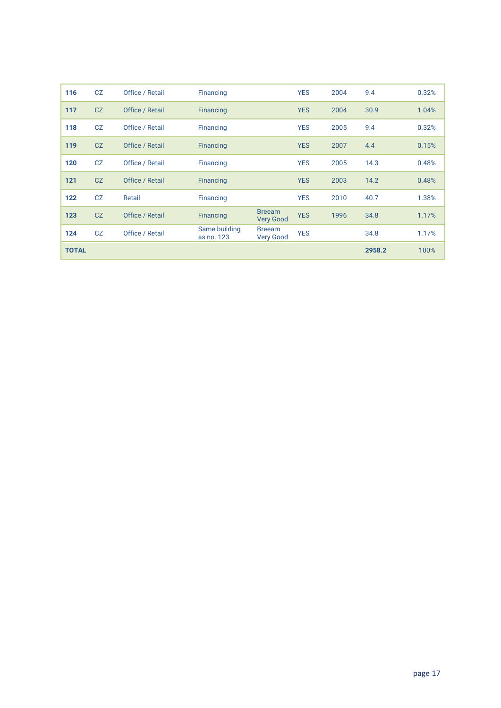| 116          | CZ | Office / Retail | Financing                   |                                   | <b>YES</b> | 2004 | 9.4    | 0.32% |
|--------------|----|-----------------|-----------------------------|-----------------------------------|------------|------|--------|-------|
| 117          | CZ | Office / Retail | <b>Financing</b>            |                                   | <b>YES</b> | 2004 | 30.9   | 1.04% |
| 118          | CZ | Office / Retail | Financing                   |                                   | <b>YES</b> | 2005 | 9.4    | 0.32% |
| 119          | CZ | Office / Retail | Financing                   |                                   | <b>YES</b> | 2007 | 4.4    | 0.15% |
| 120          | CZ | Office / Retail | Financing                   |                                   | <b>YES</b> | 2005 | 14.3   | 0.48% |
| 121          | CZ | Office / Retail | Financing                   |                                   | <b>YES</b> | 2003 | 14.2   | 0.48% |
| 122          | CZ | Retail          | Financing                   |                                   | <b>YES</b> | 2010 | 40.7   | 1.38% |
| 123          | CZ | Office / Retail | <b>Financing</b>            | <b>Breeam</b><br><b>Very Good</b> | <b>YES</b> | 1996 | 34.8   | 1.17% |
| 124          | CZ | Office / Retail | Same building<br>as no. 123 | <b>Breeam</b><br><b>Very Good</b> | <b>YES</b> |      | 34.8   | 1.17% |
| <b>TOTAL</b> |    |                 |                             |                                   |            |      | 2958.2 | 100%  |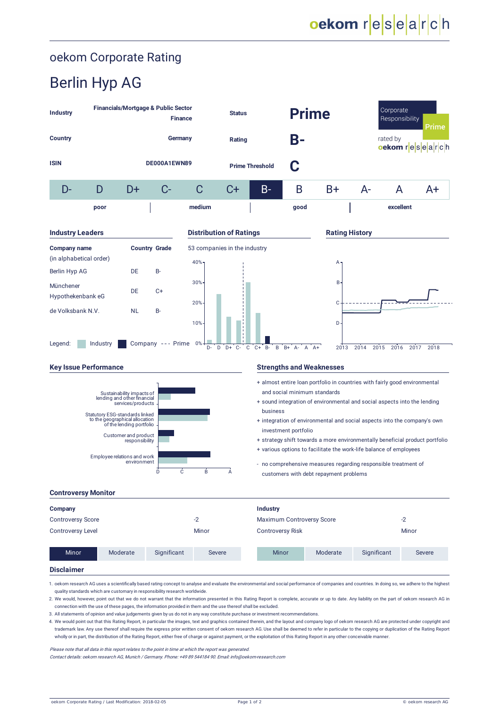# oekom Corporate Rating

# Berlin Hyp AG

| Industry                                                                                                                                                                                                                                                                                              | <b>Financials/Mortgage &amp; Public Sector</b>                                                                                                                                                                                                                                      |           | <b>Finance</b>       |                                                                                                                                                                                                                                                                                                                                                                                                                                                                                                                                                                                                                                                                   | <b>Status</b>                |                                                                                                                                                                                                                                                                                                                                                                                                                                                                                                                                | <b>Prime</b>              |                                        |              | Corporate<br>Responsibility<br><b>Prime</b> |                |  |
|-------------------------------------------------------------------------------------------------------------------------------------------------------------------------------------------------------------------------------------------------------------------------------------------------------|-------------------------------------------------------------------------------------------------------------------------------------------------------------------------------------------------------------------------------------------------------------------------------------|-----------|----------------------|-------------------------------------------------------------------------------------------------------------------------------------------------------------------------------------------------------------------------------------------------------------------------------------------------------------------------------------------------------------------------------------------------------------------------------------------------------------------------------------------------------------------------------------------------------------------------------------------------------------------------------------------------------------------|------------------------------|--------------------------------------------------------------------------------------------------------------------------------------------------------------------------------------------------------------------------------------------------------------------------------------------------------------------------------------------------------------------------------------------------------------------------------------------------------------------------------------------------------------------------------|---------------------------|----------------------------------------|--------------|---------------------------------------------|----------------|--|
| <b>Country</b>                                                                                                                                                                                                                                                                                        |                                                                                                                                                                                                                                                                                     |           | Germany              |                                                                                                                                                                                                                                                                                                                                                                                                                                                                                                                                                                                                                                                                   | Rating                       |                                                                                                                                                                                                                                                                                                                                                                                                                                                                                                                                | B-                        |                                        |              | rated by                                    | oekom research |  |
| <b>ISIN</b>                                                                                                                                                                                                                                                                                           |                                                                                                                                                                                                                                                                                     |           | DE000A1EWN89         |                                                                                                                                                                                                                                                                                                                                                                                                                                                                                                                                                                                                                                                                   |                              | <b>Prime Threshold</b>                                                                                                                                                                                                                                                                                                                                                                                                                                                                                                         |                           |                                        |              |                                             |                |  |
| D-                                                                                                                                                                                                                                                                                                    | D                                                                                                                                                                                                                                                                                   | D+        | C-                   | С                                                                                                                                                                                                                                                                                                                                                                                                                                                                                                                                                                                                                                                                 | C+                           | B-                                                                                                                                                                                                                                                                                                                                                                                                                                                                                                                             | B                         | $B+$                                   | $A-$         | A                                           | A+             |  |
|                                                                                                                                                                                                                                                                                                       | poor                                                                                                                                                                                                                                                                                |           |                      | medium                                                                                                                                                                                                                                                                                                                                                                                                                                                                                                                                                                                                                                                            |                              |                                                                                                                                                                                                                                                                                                                                                                                                                                                                                                                                | good                      |                                        |              | excellent                                   |                |  |
| <b>Industry Leaders</b>                                                                                                                                                                                                                                                                               |                                                                                                                                                                                                                                                                                     |           |                      | <b>Distribution of Ratings</b>                                                                                                                                                                                                                                                                                                                                                                                                                                                                                                                                                                                                                                    |                              |                                                                                                                                                                                                                                                                                                                                                                                                                                                                                                                                |                           | <b>Rating History</b>                  |              |                                             |                |  |
| <b>Company name</b><br>(in alphabetical order)                                                                                                                                                                                                                                                        |                                                                                                                                                                                                                                                                                     |           | <b>Country Grade</b> | 53 companies in the industry<br>40%-                                                                                                                                                                                                                                                                                                                                                                                                                                                                                                                                                                                                                              |                              |                                                                                                                                                                                                                                                                                                                                                                                                                                                                                                                                |                           | А                                      |              |                                             |                |  |
| Berlin Hyp AG                                                                                                                                                                                                                                                                                         |                                                                                                                                                                                                                                                                                     | DE        | B-                   | 30%                                                                                                                                                                                                                                                                                                                                                                                                                                                                                                                                                                                                                                                               |                              |                                                                                                                                                                                                                                                                                                                                                                                                                                                                                                                                |                           | В                                      |              |                                             |                |  |
| Münchener<br>Hypothekenbank eG                                                                                                                                                                                                                                                                        |                                                                                                                                                                                                                                                                                     | DE        | $C+$                 | 20%                                                                                                                                                                                                                                                                                                                                                                                                                                                                                                                                                                                                                                                               |                              |                                                                                                                                                                                                                                                                                                                                                                                                                                                                                                                                |                           | С                                      |              |                                             |                |  |
| de Volksbank N.V.                                                                                                                                                                                                                                                                                     |                                                                                                                                                                                                                                                                                     | <b>NL</b> | <b>B-</b>            | 10%                                                                                                                                                                                                                                                                                                                                                                                                                                                                                                                                                                                                                                                               |                              |                                                                                                                                                                                                                                                                                                                                                                                                                                                                                                                                |                           | D                                      |              |                                             |                |  |
| Legend:                                                                                                                                                                                                                                                                                               | Industry                                                                                                                                                                                                                                                                            |           | Company --- Prime    | 0%<br>D-<br>D                                                                                                                                                                                                                                                                                                                                                                                                                                                                                                                                                                                                                                                     | $D+$<br>$C -$<br>$\mathbf C$ | $C + B$<br>B                                                                                                                                                                                                                                                                                                                                                                                                                                                                                                                   | $B+$<br>A<br>$A -$        | 2013<br>$A+$                           | 2014<br>2015 | 2017<br>2016                                | 2018           |  |
|                                                                                                                                                                                                                                                                                                       |                                                                                                                                                                                                                                                                                     |           |                      |                                                                                                                                                                                                                                                                                                                                                                                                                                                                                                                                                                                                                                                                   |                              | <b>Strengths and Weaknesses</b>                                                                                                                                                                                                                                                                                                                                                                                                                                                                                                |                           |                                        |              |                                             |                |  |
| <b>Key Issue Performance</b><br>Sustainability impacts of<br>lending and other financial<br>services/products<br>Statutory ESG-standards linked<br>to the geographical allocation<br>of the lending portfolio<br>Customer and product<br>responsibility<br>Employee relations and work<br>environment |                                                                                                                                                                                                                                                                                     |           |                      |                                                                                                                                                                                                                                                                                                                                                                                                                                                                                                                                                                                                                                                                   | Α                            | + almost entire loan portfolio in countries with fairly good environmental<br>and social minimum standards<br>+ sound integration of environmental and social aspects into the lending<br>business<br>+ integration of environmental and social aspects into the company's own<br>investment portfolio<br>+ strategy shift towards a more environmentally beneficial product portfolio<br>+ various options to facilitate the work-life balance of employees<br>- no comprehensive measures regarding responsible treatment of |                           |                                        |              |                                             |                |  |
|                                                                                                                                                                                                                                                                                                       |                                                                                                                                                                                                                                                                                     |           | Ċ<br>D               | Ė.                                                                                                                                                                                                                                                                                                                                                                                                                                                                                                                                                                                                                                                                |                              |                                                                                                                                                                                                                                                                                                                                                                                                                                                                                                                                |                           | customers with debt repayment problems |              |                                             |                |  |
| <b>Controversy Monitor</b>                                                                                                                                                                                                                                                                            |                                                                                                                                                                                                                                                                                     |           |                      |                                                                                                                                                                                                                                                                                                                                                                                                                                                                                                                                                                                                                                                                   |                              |                                                                                                                                                                                                                                                                                                                                                                                                                                                                                                                                |                           |                                        |              |                                             |                |  |
| Company<br><b>Controversy Score</b>                                                                                                                                                                                                                                                                   |                                                                                                                                                                                                                                                                                     |           |                      | $-2$                                                                                                                                                                                                                                                                                                                                                                                                                                                                                                                                                                                                                                                              |                              | Industry                                                                                                                                                                                                                                                                                                                                                                                                                                                                                                                       | Maximum Controversy Score |                                        |              | $-2$                                        |                |  |
| <b>Controversy Level</b>                                                                                                                                                                                                                                                                              |                                                                                                                                                                                                                                                                                     |           |                      | Minor                                                                                                                                                                                                                                                                                                                                                                                                                                                                                                                                                                                                                                                             |                              | <b>Controversy Risk</b>                                                                                                                                                                                                                                                                                                                                                                                                                                                                                                        |                           |                                        |              | Minor                                       |                |  |
| <b>Minor</b>                                                                                                                                                                                                                                                                                          |                                                                                                                                                                                                                                                                                     | Moderate  | Significant          | <b>Severe</b>                                                                                                                                                                                                                                                                                                                                                                                                                                                                                                                                                                                                                                                     |                              | Minor                                                                                                                                                                                                                                                                                                                                                                                                                                                                                                                          |                           | Moderate                               | Significant  |                                             | Severe         |  |
| <b>Disclaimer</b>                                                                                                                                                                                                                                                                                     |                                                                                                                                                                                                                                                                                     |           |                      |                                                                                                                                                                                                                                                                                                                                                                                                                                                                                                                                                                                                                                                                   |                              |                                                                                                                                                                                                                                                                                                                                                                                                                                                                                                                                |                           |                                        |              |                                             |                |  |
|                                                                                                                                                                                                                                                                                                       | quality standards which are customary in responsibility research worldwide.<br>4. We would point out that this Rating Report, in particular the images, text and graphics contained therein, and the layout and company logo of oekom research AG are protected under copyright and |           |                      | 1. oekom research AG uses a scientifically based rating concept to analyse and evaluate the environmental and social performance of companies and countries. In doing so, we adhere to the highest<br>2. We would, however, point out that we do not warrant that the information presented in this Rating Report is complete, accurate or up to date. Any liability on the part of oekom research AG in<br>connection with the use of these pages, the information provided in them and the use thereof shall be excluded.<br>3. All statements of opinion and value judgements given by us do not in any way constitute purchase or investment recommendations. |                              |                                                                                                                                                                                                                                                                                                                                                                                                                                                                                                                                |                           |                                        |              |                                             |                |  |

4. We would point out that this Rating Report, in particular the images, text and graphics contained therein, and the layout and company logo of oekom research AG are protected under copyright and trademark law. Any use thereof shall require the express prior written consent of oekom research AG. Use shall be deemed to refer in particular to the copying or duplication of the Rating Report wholly or in part, the distribution of the Rating Report, either free of charge or against payment, or the exploitation of this Rating Report in any other conceivable manner.

Please note that all data in this report relates to the point in time at which the report was generated.

Contact details: oekom research AG, Munich / Germany. Phone: +49 89 544184 90. Email: info@oekom-research.com